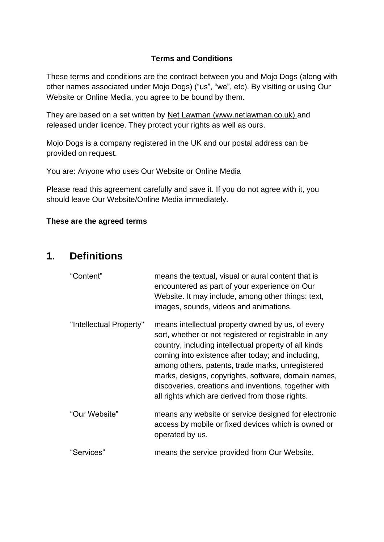### **Terms and Conditions**

These terms and conditions are the contract between you and Mojo Dogs (along with other names associated under Mojo Dogs) ("us", "we", etc). By visiting or using Our Website or Online Media, you agree to be bound by them.

They are based on a set written by [Net Lawman](https://www.netlawman.co.uk/) (www.netlawman.co.uk) and released under licence. They protect your rights as well as ours.

Mojo Dogs is a company registered in the UK and our postal address can be provided on request.

You are: Anyone who uses Our Website or Online Media

Please read this agreement carefully and save it. If you do not agree with it, you should leave Our Website/Online Media immediately.

#### **These are the agreed terms**

### **1. Definitions**

| "Content"               | means the textual, visual or aural content that is<br>encountered as part of your experience on Our<br>Website. It may include, among other things: text,<br>images, sounds, videos and animations.                                                                                                                                                                                                                                            |
|-------------------------|------------------------------------------------------------------------------------------------------------------------------------------------------------------------------------------------------------------------------------------------------------------------------------------------------------------------------------------------------------------------------------------------------------------------------------------------|
| "Intellectual Property" | means intellectual property owned by us, of every<br>sort, whether or not registered or registrable in any<br>country, including intellectual property of all kinds<br>coming into existence after today; and including,<br>among others, patents, trade marks, unregistered<br>marks, designs, copyrights, software, domain names,<br>discoveries, creations and inventions, together with<br>all rights which are derived from those rights. |
| "Our Website"           | means any website or service designed for electronic<br>access by mobile or fixed devices which is owned or<br>operated by us.                                                                                                                                                                                                                                                                                                                 |
| "Services"              | means the service provided from Our Website.                                                                                                                                                                                                                                                                                                                                                                                                   |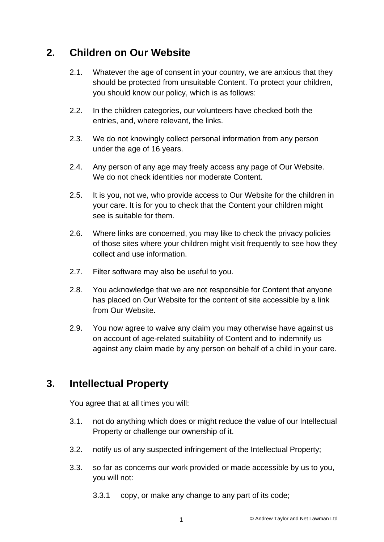# **2. Children on Our Website**

- 2.1. Whatever the age of consent in your country, we are anxious that they should be protected from unsuitable Content. To protect your children, you should know our policy, which is as follows:
- 2.2. In the children categories, our volunteers have checked both the entries, and, where relevant, the links.
- 2.3. We do not knowingly collect personal information from any person under the age of 16 years.
- 2.4. Any person of any age may freely access any page of Our Website. We do not check identities nor moderate Content.
- 2.5. It is you, not we, who provide access to Our Website for the children in your care. It is for you to check that the Content your children might see is suitable for them.
- 2.6. Where links are concerned, you may like to check the privacy policies of those sites where your children might visit frequently to see how they collect and use information.
- 2.7. Filter software may also be useful to you.
- 2.8. You acknowledge that we are not responsible for Content that anyone has placed on Our Website for the content of site accessible by a link from Our Website.
- 2.9. You now agree to waive any claim you may otherwise have against us on account of age-related suitability of Content and to indemnify us against any claim made by any person on behalf of a child in your care.

# **3. Intellectual Property**

You agree that at all times you will:

- 3.1. not do anything which does or might reduce the value of our Intellectual Property or challenge our ownership of it.
- 3.2. notify us of any suspected infringement of the Intellectual Property;
- 3.3. so far as concerns our work provided or made accessible by us to you, you will not:
	- 3.3.1 copy, or make any change to any part of its code;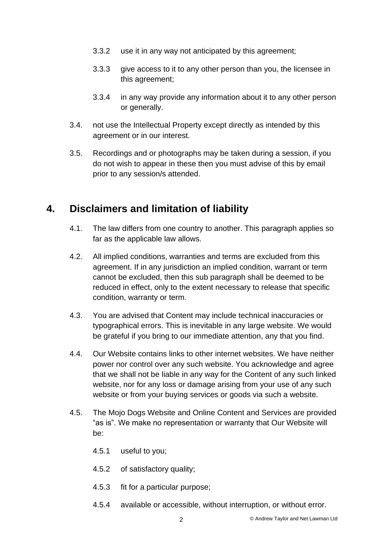- 3.3.2 use it in any way not anticipated by this agreement;
- 3.3.3 give access to it to any other person than you, the licensee in this agreement;
- 3.3.4 in any way provide any information about it to any other person or generally.
- 3.4. not use the Intellectual Property except directly as intended by this agreement or in our interest.
- 3.5. Recordings and or photographs may be taken during a session, if you do not wish to appear in these then you must advise of this by email prior to any session/s attended.

# **4. Disclaimers and limitation of liability**

- 4.1. The law differs from one country to another. This paragraph applies so far as the applicable law allows.
- 4.2. All implied conditions, warranties and terms are excluded from this agreement. If in any jurisdiction an implied condition, warrant or term cannot be excluded, then this sub paragraph shall be deemed to be reduced in effect, only to the extent necessary to release that specific condition, warranty or term.
- 4.3. You are advised that Content may include technical inaccuracies or typographical errors. This is inevitable in any large website. We would be grateful if you bring to our immediate attention, any that you find.
- 4.4. Our Website contains links to other internet websites. We have neither power nor control over any such website. You acknowledge and agree that we shall not be liable in any way for the Content of any such linked website, nor for any loss or damage arising from your use of any such website or from your buying services or goods via such a website.
- 4.5. The Mojo Dogs Website and Online Content and Services are provided "as is". We make no representation or warranty that Our Website will be:
	- 4.5.1 useful to you;
	- 4.5.2 of satisfactory quality;
	- 4.5.3 fit for a particular purpose;
	- 4.5.4 available or accessible, without interruption, or without error.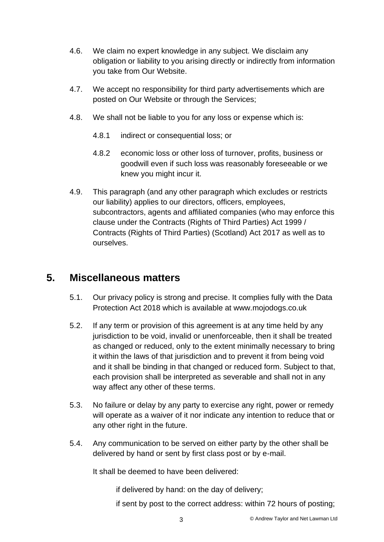- 4.6. We claim no expert knowledge in any subject. We disclaim any obligation or liability to you arising directly or indirectly from information you take from Our Website.
- 4.7. We accept no responsibility for third party advertisements which are posted on Our Website or through the Services;
- 4.8. We shall not be liable to you for any loss or expense which is:
	- 4.8.1 indirect or consequential loss; or
	- 4.8.2 economic loss or other loss of turnover, profits, business or goodwill even if such loss was reasonably foreseeable or we knew you might incur it.
- 4.9. This paragraph (and any other paragraph which excludes or restricts our liability) applies to our directors, officers, employees, subcontractors, agents and affiliated companies (who may enforce this clause under the Contracts (Rights of Third Parties) Act 1999 / Contracts (Rights of Third Parties) (Scotland) Act 2017 as well as to ourselves.

# **5. Miscellaneous matters**

- 5.1. Our privacy policy is strong and precise. It complies fully with the Data Protection Act 2018 which is available at www.mojodogs.co.uk
- 5.2. If any term or provision of this agreement is at any time held by any jurisdiction to be void, invalid or unenforceable, then it shall be treated as changed or reduced, only to the extent minimally necessary to bring it within the laws of that jurisdiction and to prevent it from being void and it shall be binding in that changed or reduced form. Subject to that, each provision shall be interpreted as severable and shall not in any way affect any other of these terms.
- 5.3. No failure or delay by any party to exercise any right, power or remedy will operate as a waiver of it nor indicate any intention to reduce that or any other right in the future.
- 5.4. Any communication to be served on either party by the other shall be delivered by hand or sent by first class post or by e-mail.

It shall be deemed to have been delivered:

if delivered by hand: on the day of delivery;

if sent by post to the correct address: within 72 hours of posting;